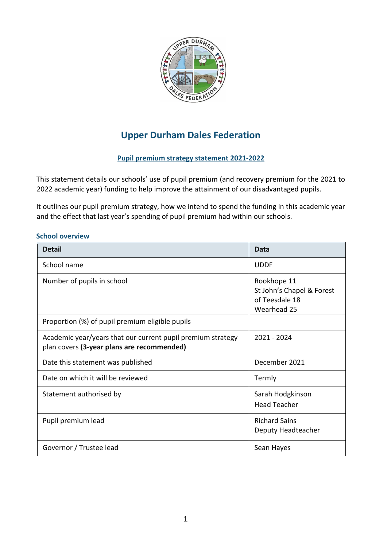

# **Upper Durham Dales Federation**

# **Pupil premium strategy statement 2021-2022**

This statement details our schools' use of pupil premium (and recovery premium for the 2021 to 2022 academic year) funding to help improve the attainment of our disadvantaged pupils.

It outlines our pupil premium strategy, how we intend to spend the funding in this academic year and the effect that last year's spending of pupil premium had within our schools.

#### **School overview**

| <b>Detail</b>                                                                                             | Data                                                                      |
|-----------------------------------------------------------------------------------------------------------|---------------------------------------------------------------------------|
| School name                                                                                               | <b>UDDF</b>                                                               |
| Number of pupils in school                                                                                | Rookhope 11<br>St John's Chapel & Forest<br>of Teesdale 18<br>Wearhead 25 |
| Proportion (%) of pupil premium eligible pupils                                                           |                                                                           |
| Academic year/years that our current pupil premium strategy<br>plan covers (3-year plans are recommended) | 2021 - 2024                                                               |
| Date this statement was published                                                                         | December 2021                                                             |
| Date on which it will be reviewed                                                                         | Termly                                                                    |
| Statement authorised by                                                                                   | Sarah Hodgkinson<br><b>Head Teacher</b>                                   |
| Pupil premium lead                                                                                        | <b>Richard Sains</b><br>Deputy Headteacher                                |
| Governor / Trustee lead                                                                                   | Sean Hayes                                                                |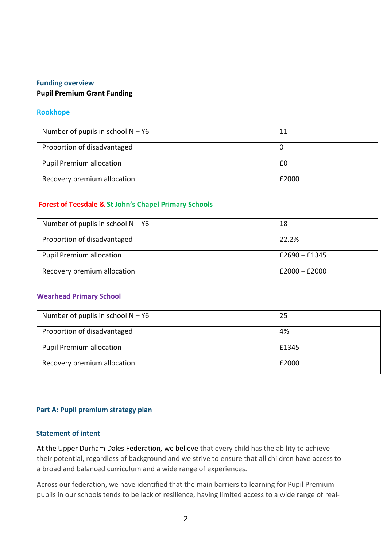## **Funding overview Pupil Premium Grant Funding**

## **Rookhope**

| Number of pupils in school $N - Y6$ | 11    |
|-------------------------------------|-------|
| Proportion of disadvantaged         | 0     |
| <b>Pupil Premium allocation</b>     | £0    |
| Recovery premium allocation         | £2000 |

## **Forest of Teesdale & St John's Chapel Primary Schools**

| Number of pupils in school $N - Y6$ | 18              |
|-------------------------------------|-----------------|
| Proportion of disadvantaged         | 22.2%           |
| <b>Pupil Premium allocation</b>     | $£2690 + £1345$ |
| Recovery premium allocation         | $£2000 + £2000$ |

#### **Wearhead Primary School**

| Number of pupils in school $N - Y6$ | 25    |
|-------------------------------------|-------|
| Proportion of disadvantaged         | 4%    |
| <b>Pupil Premium allocation</b>     | £1345 |
| Recovery premium allocation         | £2000 |

#### **Part A: Pupil premium strategy plan**

#### **Statement of intent**

At the Upper Durham Dales Federation, we believe that every child has the ability to achieve their potential, regardless of background and we strive to ensure that all children have access to a broad and balanced curriculum and a wide range of experiences.

Across our federation, we have identified that the main barriers to learning for Pupil Premium pupils in our schools tends to be lack of resilience, having limited access to a wide range of real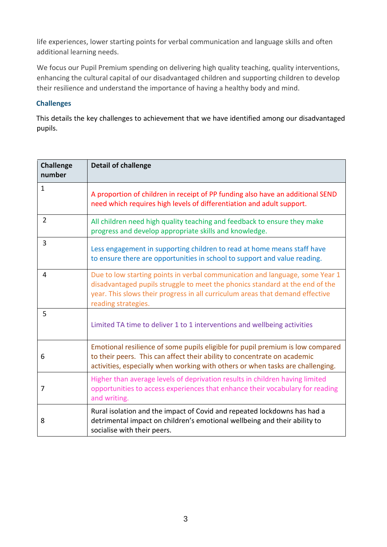life experiences, lower starting points for verbal communication and language skills and often additional learning needs.

We focus our Pupil Premium spending on delivering high quality teaching, quality interventions, enhancing the cultural capital of our disadvantaged children and supporting children to develop their resilience and understand the importance of having a healthy body and mind.

## **Challenges**

This details the key challenges to achievement that we have identified among our disadvantaged pupils.

| <b>Challenge</b><br>number | <b>Detail of challenge</b>                                                                                                                                                                                                                                           |
|----------------------------|----------------------------------------------------------------------------------------------------------------------------------------------------------------------------------------------------------------------------------------------------------------------|
| $\mathbf{1}$               | A proportion of children in receipt of PP funding also have an additional SEND<br>need which requires high levels of differentiation and adult support.                                                                                                              |
| $\overline{2}$             | All children need high quality teaching and feedback to ensure they make<br>progress and develop appropriate skills and knowledge.                                                                                                                                   |
| 3                          | Less engagement in supporting children to read at home means staff have<br>to ensure there are opportunities in school to support and value reading.                                                                                                                 |
| 4                          | Due to low starting points in verbal communication and language, some Year 1<br>disadvantaged pupils struggle to meet the phonics standard at the end of the<br>year. This slows their progress in all curriculum areas that demand effective<br>reading strategies. |
| 5                          | Limited TA time to deliver 1 to 1 interventions and wellbeing activities                                                                                                                                                                                             |
| 6                          | Emotional resilience of some pupils eligible for pupil premium is low compared<br>to their peers. This can affect their ability to concentrate on academic<br>activities, especially when working with others or when tasks are challenging.                         |
| 7                          | Higher than average levels of deprivation results in children having limited<br>opportunities to access experiences that enhance their vocabulary for reading<br>and writing.                                                                                        |
| 8                          | Rural isolation and the impact of Covid and repeated lockdowns has had a<br>detrimental impact on children's emotional wellbeing and their ability to<br>socialise with their peers.                                                                                 |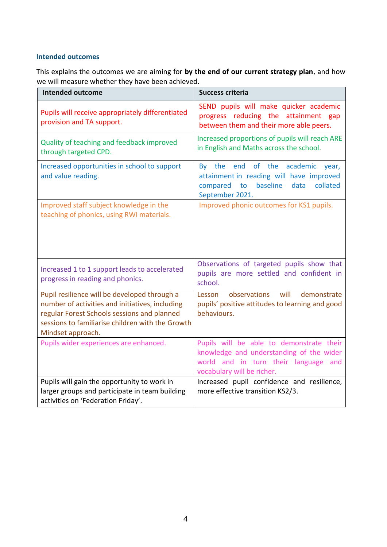## **Intended outcomes**

This explains the outcomes we are aiming for **by the end of our current strategy plan**, and how we will measure whether they have been achieved.

| <b>Intended outcome</b>                                                                                                                                                                                                 | <b>Success criteria</b>                                                                                                                                    |
|-------------------------------------------------------------------------------------------------------------------------------------------------------------------------------------------------------------------------|------------------------------------------------------------------------------------------------------------------------------------------------------------|
| Pupils will receive appropriately differentiated<br>provision and TA support.                                                                                                                                           | SEND pupils will make quicker academic<br>progress reducing the attainment gap<br>between them and their more able peers.                                  |
| Quality of teaching and feedback improved<br>through targeted CPD.                                                                                                                                                      | Increased proportions of pupils will reach ARE<br>in English and Maths across the school.                                                                  |
| Increased opportunities in school to support<br>and value reading.                                                                                                                                                      | By the end<br>of the<br>academic<br>year,<br>attainment in reading will have improved<br>baseline<br>collated<br>compared<br>to<br>data<br>September 2021. |
| Improved staff subject knowledge in the<br>teaching of phonics, using RWI materials.                                                                                                                                    | Improved phonic outcomes for KS1 pupils.                                                                                                                   |
| Increased 1 to 1 support leads to accelerated<br>progress in reading and phonics.                                                                                                                                       | Observations of targeted pupils show that<br>pupils are more settled and confident in<br>school.                                                           |
| Pupil resilience will be developed through a<br>number of activities and initiatives, including<br>regular Forest Schools sessions and planned<br>sessions to familiarise children with the Growth<br>Mindset approach. | Lesson observations<br>will<br>demonstrate<br>pupils' positive attitudes to learning and good<br>behaviours.                                               |
| Pupils wider experiences are enhanced.                                                                                                                                                                                  | Pupils will be able to demonstrate their<br>knowledge and understanding of the wider<br>world and in turn their language and<br>vocabulary will be richer. |
| Pupils will gain the opportunity to work in<br>larger groups and participate in team building<br>activities on 'Federation Friday'.                                                                                     | Increased pupil confidence and resilience,<br>more effective transition KS2/3.                                                                             |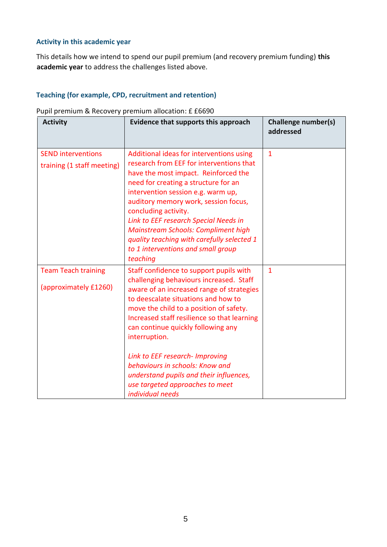## **Activity in this academic year**

This details how we intend to spend our pupil premium (and recovery premium funding) **this academic year** to address the challenges listed above.

## **Teaching (for example, CPD, recruitment and retention)**

| <b>Activity</b>                                         | Evidence that supports this approach                                                                                                                                                                                                                                                                                                                                                                                                                  | <b>Challenge number(s)</b><br>addressed |
|---------------------------------------------------------|-------------------------------------------------------------------------------------------------------------------------------------------------------------------------------------------------------------------------------------------------------------------------------------------------------------------------------------------------------------------------------------------------------------------------------------------------------|-----------------------------------------|
| <b>SEND interventions</b><br>training (1 staff meeting) | Additional ideas for interventions using<br>research from EEF for interventions that<br>have the most impact. Reinforced the<br>need for creating a structure for an<br>intervention session e.g. warm up,<br>auditory memory work, session focus,<br>concluding activity.<br>Link to EEF research Special Needs in<br><b>Mainstream Schools: Compliment high</b><br>quality teaching with carefully selected 1<br>to 1 interventions and small group | $\mathbf{1}$                            |
|                                                         | teaching                                                                                                                                                                                                                                                                                                                                                                                                                                              |                                         |
| <b>Team Teach training</b><br>(approximately £1260)     | Staff confidence to support pupils with<br>challenging behaviours increased. Staff<br>aware of an increased range of strategies<br>to deescalate situations and how to<br>move the child to a position of safety.<br>Increased staff resilience so that learning<br>can continue quickly following any<br>interruption.                                                                                                                               | $\overline{1}$                          |
|                                                         | Link to EEF research- Improving<br>behaviours in schools: Know and<br>understand pupils and their influences,<br>use targeted approaches to meet<br>individual needs                                                                                                                                                                                                                                                                                  |                                         |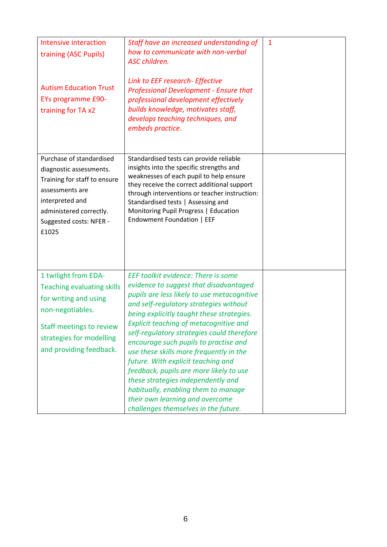| Intensive interaction<br>training (ASC Pupils)<br><b>Autism Education Trust</b><br><b>EYs programme £90-</b><br>training for TA x2                                                               | Staff have an increased understanding of<br>how to communicate with non-verbal<br>ASC children.<br>Link to EEF research- Effective<br><b>Professional Development - Ensure that</b><br>professional development effectively<br>builds knowledge, motivates staff,<br>develops teaching techniques, and<br>embeds practice.                                                                                                                                                                                                                                                                                                               | $\mathbf{1}$ |
|--------------------------------------------------------------------------------------------------------------------------------------------------------------------------------------------------|------------------------------------------------------------------------------------------------------------------------------------------------------------------------------------------------------------------------------------------------------------------------------------------------------------------------------------------------------------------------------------------------------------------------------------------------------------------------------------------------------------------------------------------------------------------------------------------------------------------------------------------|--------------|
| Purchase of standardised<br>diagnostic assessments.<br>Training for staff to ensure<br>assessments are<br>interpreted and<br>administered correctly.<br>Suggested costs: NFER -<br>£1025         | Standardised tests can provide reliable<br>insights into the specific strengths and<br>weaknesses of each pupil to help ensure<br>they receive the correct additional support<br>through interventions or teacher instruction:<br>Standardised tests   Assessing and<br>Monitoring Pupil Progress   Education<br>Endowment Foundation   EEF                                                                                                                                                                                                                                                                                              |              |
| 1 twilight from EDA-<br><b>Teaching evaluating skills</b><br>for writing and using<br>non-negotiables.<br><b>Staff meetings to review</b><br>strategies for modelling<br>and providing feedback. | EEF toolkit evidence: There is some<br>evidence to suggest that disadvantaged<br>pupils are less likely to use metacognitive<br>and self-regulatory strategies without<br>being explicitly taught these strategies.<br>Explicit teaching of metacognitive and<br>self-regulatory strategies could therefore<br>encourage such pupils to practise and<br>use these skills more frequently in the<br>future. With explicit teaching and<br>feedback, pupils are more likely to use<br>these strategies independently and<br>habitually, enabling them to manage<br>their own learning and overcome<br>challenges themselves in the future. |              |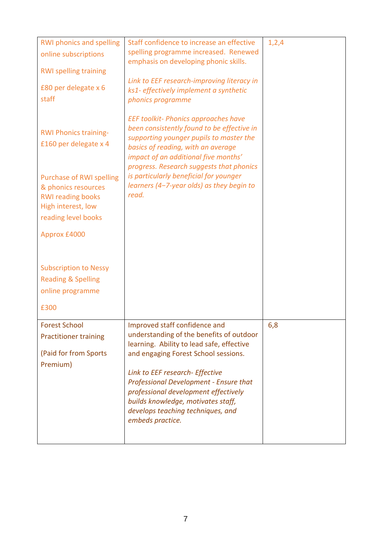| <b>RWI phonics and spelling</b><br>online subscriptions<br><b>RWI spelling training</b><br>£80 per delegate x 6<br>staff        | Staff confidence to increase an effective<br>spelling programme increased. Renewed<br>emphasis on developing phonic skills.<br>Link to EEF research-improving literacy in<br>ks1- effectively implement a synthetic<br>phonics programme                                                                                                                                                  | 1,2,4 |
|---------------------------------------------------------------------------------------------------------------------------------|-------------------------------------------------------------------------------------------------------------------------------------------------------------------------------------------------------------------------------------------------------------------------------------------------------------------------------------------------------------------------------------------|-------|
| <b>RWI Phonics training-</b><br>£160 per delegate x 4                                                                           | <b>EEF toolkit- Phonics approaches have</b><br>been consistently found to be effective in<br>supporting younger pupils to master the<br>basics of reading, with an average<br>impact of an additional five months'<br>progress. Research suggests that phonics                                                                                                                            |       |
| <b>Purchase of RWI spelling</b><br>& phonics resources<br><b>RWI reading books</b><br>High interest, low<br>reading level books | is particularly beneficial for younger<br>learners (4-7-year olds) as they begin to<br>read.                                                                                                                                                                                                                                                                                              |       |
| Approx £4000                                                                                                                    |                                                                                                                                                                                                                                                                                                                                                                                           |       |
| <b>Subscription to Nessy</b><br><b>Reading &amp; Spelling</b><br>online programme<br>£300                                       |                                                                                                                                                                                                                                                                                                                                                                                           |       |
| <b>Forest School</b><br><b>Practitioner training</b><br>(Paid for from Sports<br>Premium)                                       | Improved staff confidence and<br>understanding of the benefits of outdoor<br>learning. Ability to lead safe, effective<br>and engaging Forest School sessions.<br>Link to EEF research- Effective<br><b>Professional Development - Ensure that</b><br>professional development effectively<br>builds knowledge, motivates staff,<br>develops teaching techniques, and<br>embeds practice. | 6,8   |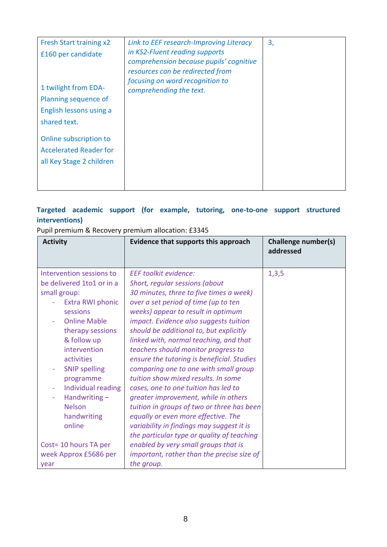| Fresh Start training x2<br>£160 per candidate<br>1 twilight from EDA-<br>Planning sequence of<br>English lessons using a<br>shared text.<br>Online subscription to<br><b>Accelerated Reader for</b><br>all Key Stage 2 children | Link to EEF research-Improving Literacy<br>in KS2-Fluent reading supports<br>comprehension because pupils' cognitive<br>resources can be redirected from<br>focusing on word recognition to<br>comprehending the text. | 3, |
|---------------------------------------------------------------------------------------------------------------------------------------------------------------------------------------------------------------------------------|------------------------------------------------------------------------------------------------------------------------------------------------------------------------------------------------------------------------|----|
|---------------------------------------------------------------------------------------------------------------------------------------------------------------------------------------------------------------------------------|------------------------------------------------------------------------------------------------------------------------------------------------------------------------------------------------------------------------|----|

# **Targeted academic support (for example, tutoring, one-to-one support structured interventions)**

Pupil premium & Recovery premium allocation: £3345

| <b>Activity</b>                                                                                                                                                                                                                                                                                                            | <b>Evidence that supports this approach</b>                                                                                                                                                                                                                                                                                                                                                                                                                                                                                                                                                                                                                                                                                                                 | Challenge number(s)<br>addressed |
|----------------------------------------------------------------------------------------------------------------------------------------------------------------------------------------------------------------------------------------------------------------------------------------------------------------------------|-------------------------------------------------------------------------------------------------------------------------------------------------------------------------------------------------------------------------------------------------------------------------------------------------------------------------------------------------------------------------------------------------------------------------------------------------------------------------------------------------------------------------------------------------------------------------------------------------------------------------------------------------------------------------------------------------------------------------------------------------------------|----------------------------------|
| Intervention sessions to<br>be delivered 1to1 or in a<br>small group:<br>Extra RWI phonic<br>sessions<br><b>Online Mable</b><br>therapy sessions<br>& follow up<br>intervention<br>activities<br><b>SNIP spelling</b><br>programme<br>Individual reading<br>Handwriting $-$<br>÷<br><b>Nelson</b><br>handwriting<br>online | <b>EEF</b> toolkit evidence:<br>Short, regular sessions (about<br>30 minutes, three to five times a week)<br>over a set period of time (up to ten<br>weeks) appear to result in optimum<br>impact. Evidence also suggests tuition<br>should be additional to, but explicitly<br>linked with, normal teaching, and that<br>teachers should monitor progress to<br>ensure the tutoring is beneficial. Studies<br>comparing one to one with small group<br>tuition show mixed results. In some<br>cases, one to one tuition has led to<br>greater improvement, while in others<br>tuition in groups of two or three has been<br>equally or even more effective. The<br>variability in findings may suggest it is<br>the particular type or quality of teaching | 1,3,5                            |
| Cost= 10 hours TA per<br>week Approx £5686 per<br>year                                                                                                                                                                                                                                                                     | enabled by very small groups that is<br>important, rather than the precise size of<br>the group.                                                                                                                                                                                                                                                                                                                                                                                                                                                                                                                                                                                                                                                            |                                  |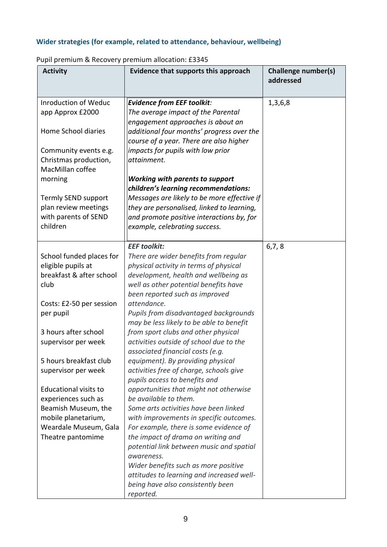# **Wider strategies (for example, related to attendance, behaviour, wellbeing)**

| <b>Activity</b>              | Evidence that supports this approach        | Challenge number(s)<br>addressed |
|------------------------------|---------------------------------------------|----------------------------------|
| <b>Inroduction of Weduc</b>  | <b>Evidence from EEF toolkit:</b>           | 1,3,6,8                          |
| app Approx £2000             | The average impact of the Parental          |                                  |
|                              | engagement approaches is about an           |                                  |
| Home School diaries          | additional four months' progress over the   |                                  |
|                              | course of a year. There are also higher     |                                  |
| Community events e.g.        | impacts for pupils with low prior           |                                  |
| Christmas production,        | attainment.                                 |                                  |
| MacMillan coffee             |                                             |                                  |
| morning                      | <b>Working with parents to support</b>      |                                  |
|                              | children's learning recommendations:        |                                  |
| Termly SEND support          | Messages are likely to be more effective if |                                  |
| plan review meetings         | they are personalised, linked to learning,  |                                  |
| with parents of SEND         | and promote positive interactions by, for   |                                  |
| children                     | example, celebrating success.               |                                  |
|                              |                                             |                                  |
|                              | <b>EEF</b> toolkit:                         | 6, 7, 8                          |
| School funded places for     | There are wider benefits from regular       |                                  |
| eligible pupils at           | physical activity in terms of physical      |                                  |
| breakfast & after school     | development, health and wellbeing as        |                                  |
| club                         | well as other potential benefits have       |                                  |
|                              | been reported such as improved              |                                  |
| Costs: £2-50 per session     | attendance.                                 |                                  |
| per pupil                    | Pupils from disadvantaged backgrounds       |                                  |
|                              | may be less likely to be able to benefit    |                                  |
| 3 hours after school         | from sport clubs and other physical         |                                  |
| supervisor per week          | activities outside of school due to the     |                                  |
|                              | associated financial costs (e.g.            |                                  |
| 5 hours breakfast club       | equipment). By providing physical           |                                  |
| supervisor per week          | activities free of charge, schools give     |                                  |
|                              | pupils access to benefits and               |                                  |
| <b>Educational visits to</b> | opportunities that might not otherwise      |                                  |
| experiences such as          | be available to them.                       |                                  |
| Beamish Museum, the          | Some arts activities have been linked       |                                  |
| mobile planetarium,          | with improvements in specific outcomes.     |                                  |
| Weardale Museum, Gala        | For example, there is some evidence of      |                                  |
| Theatre pantomime            | the impact of drama on writing and          |                                  |
|                              | potential link between music and spatial    |                                  |
|                              | awareness.                                  |                                  |
|                              | Wider benefits such as more positive        |                                  |
|                              | attitudes to learning and increased well-   |                                  |
|                              | being have also consistently been           |                                  |
|                              | reported.                                   |                                  |

## Pupil premium & Recovery premium allocation: £3345